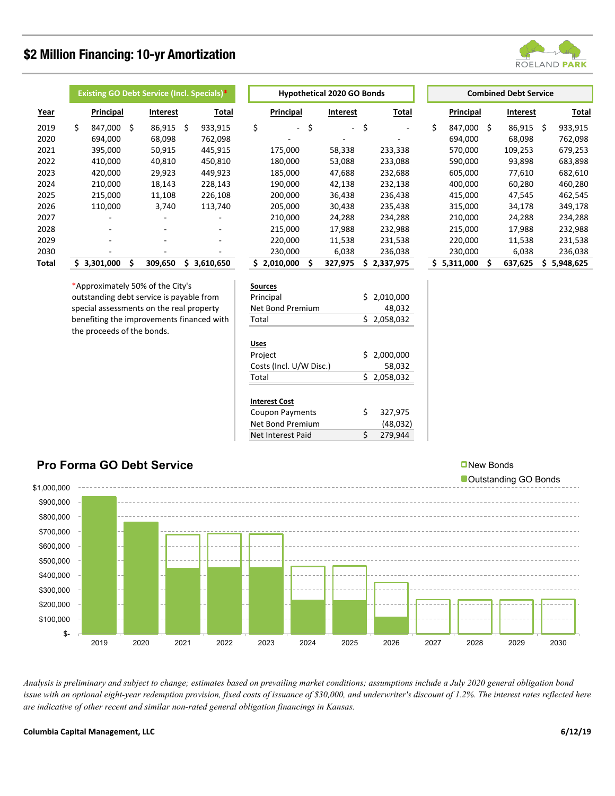## **\$2 Million Financing: 10-yr Amortization**



|       | <b>Existing GO Debt Service (Incl. Specials)*</b> |           |   |                 |           |         |  | <b>Hypothetical 2020 GO Bonds</b> |           |              |                 |           |             | <b>Combined Debt Service</b> |           |         |                 |           |         |
|-------|---------------------------------------------------|-----------|---|-----------------|-----------|---------|--|-----------------------------------|-----------|--------------|-----------------|-----------|-------------|------------------------------|-----------|---------|-----------------|-----------|---------|
| Year  |                                                   | Principal |   | <b>Interest</b> |           | Total   |  |                                   | Principal |              | <b>Interest</b> |           | Total       |                              | Principal |         | <b>Interest</b> |           | Total   |
| 2019  | Ś.                                                | 847.000   | Ś | 86,915          | Ŝ         | 933,915 |  | \$                                | $\sim$    | \$           | $\sim$          | \$        | ۰           | Ś.                           | 847,000   | Ś.      | 86,915          | Ŝ         | 933,915 |
| 2020  |                                                   | 694.000   |   | 68.098          |           | 762,098 |  |                                   |           |              | -               |           |             |                              | 694,000   |         | 68.098          |           | 762,098 |
| 2021  |                                                   | 395,000   |   | 50.915          |           | 445,915 |  |                                   | 175,000   |              | 58,338          |           | 233,338     |                              | 570,000   |         | 109.253         |           | 679,253 |
| 2022  |                                                   | 410,000   |   | 40,810          |           | 450,810 |  |                                   | 180,000   |              | 53,088          |           | 233,088     |                              | 590,000   |         | 93,898          |           | 683,898 |
| 2023  |                                                   | 420,000   |   | 29,923          |           | 449,923 |  |                                   | 185,000   |              | 47,688          |           | 232,688     |                              | 605,000   |         | 77,610          |           | 682,610 |
| 2024  |                                                   | 210.000   |   | 18.143          |           | 228,143 |  |                                   | 190,000   |              | 42,138          |           | 232,138     |                              | 400,000   |         | 60.280          |           | 460,280 |
| 2025  |                                                   | 215,000   |   | 11,108          |           | 226,108 |  |                                   | 200,000   |              | 36,438          |           | 236,438     |                              | 415,000   |         | 47,545          |           | 462,545 |
| 2026  |                                                   | 110,000   |   | 3,740           |           | 113,740 |  |                                   | 205,000   |              | 30,438          |           | 235,438     |                              | 315,000   |         | 34,178          |           | 349,178 |
| 2027  |                                                   | ۰         |   |                 |           |         |  |                                   | 210,000   |              | 24,288          |           | 234,288     |                              | 210,000   |         | 24,288          |           | 234,288 |
| 2028  |                                                   | ۰.        |   |                 |           | ۰.      |  |                                   | 215,000   |              | 17,988          |           | 232,988     |                              | 215,000   |         | 17,988          |           | 232,988 |
| 2029  |                                                   |           |   |                 |           |         |  |                                   | 220,000   |              | 11,538          |           | 231,538     |                              | 220,000   |         | 11,538          |           | 231,538 |
| 2030  |                                                   |           |   |                 |           |         |  |                                   | 230,000   |              | 6,038           |           | 236,038     |                              | 230,000   |         | 6,038           |           | 236,038 |
| Total | \$3,301,000<br>309.650                            |           |   | S               | 3,610,650 |         |  | \$2,010,000                       | Ś.        | 327,975<br>Ś |                 | 2,337,975 | \$5,311,000 |                              | Ś.        | 637,625 | Ŝ.              | 5,948,625 |         |

\*Approximately 50% of the City's outstanding debt service is payable from special assessments on the real property benefiting the improvements financed with the proceeds of the bonds.

|    | Principal |    | <b>Interest</b> |    | <b>Total</b> |    |
|----|-----------|----|-----------------|----|--------------|----|
| \$ |           | Ś  |                 | \$ |              | Ś  |
|    |           |    |                 |    |              |    |
|    | 175,000   |    | 58,338          |    | 233,338      |    |
|    | 180,000   |    | 53,088          |    | 233,088      |    |
|    | 185,000   |    | 47,688          |    | 232,688      |    |
|    | 190,000   |    | 42,138          |    | 232,138      |    |
|    | 200,000   |    | 36,438          |    | 236,438      |    |
|    | 205,000   |    | 30,438          |    | 235,438      |    |
|    | 210,000   |    | 24,288          |    | 234,288      |    |
|    | 215,000   |    | 17,988          |    | 232,988      |    |
|    | 220,000   |    | 11,538          |    | 231,538      |    |
|    | 230,000   |    | 6,038           |    | 236,038      |    |
| Ś  | 2,010,000 | \$ | 327,975         | Ś  | 2,337,975    | \$ |
|    |           |    |                 |    |              |    |

| 5 | 5,311,000 | Ś | 637,625 | 5.948.625       |
|---|-----------|---|---------|-----------------|
| 8 | 230,000   |   | 6,038   | 236,038         |
| 8 | 220,000   |   | 11,538  | 231,538         |
| 8 | 215,000   |   | 17,988  | 232,988         |
| 8 | 210,000   |   | 24,288  | 234,288         |
| 8 | 315,000   |   | 34,178  | 349,178         |
| 8 | 415,000   |   | 47,545  | 462,545         |
| 8 | 400,000   |   | 60,280  | 460,280         |
| 8 | 605,000   |   | 77,610  | 682,610         |
| 8 | 590,000   |   | 93,898  | 683,898         |
| 8 | 570,000   |   | 109,253 | 679,253         |
|   | 694,000   |   | 68,098  | 762,098         |
|   | o47,000   |   | 00,J1J  | <i>วงง,ว</i> ⊥ง |

| <b>Sources</b>   |             |
|------------------|-------------|
| Principal        | \$2,010,000 |
| Net Bond Premium | 48.032      |
| Total            | \$2,058,032 |
|                  |             |

| Uses                    |   |             |
|-------------------------|---|-------------|
| Project                 |   | \$2,000,000 |
| Costs (Incl. U/W Disc.) |   | 58,032      |
| Total                   |   | \$2,058,032 |
|                         |   |             |
| <b>Interest Cost</b>    |   |             |
| <b>Coupon Payments</b>  | Ś | 327,975     |
| Net Bond Premium        |   | (48, 032)   |
| Net Interest Paid       | Ś | 279.944     |



*Analysis is preliminary and subject to change; estimates based on prevailing market conditions; assumptions include a July 2020 general obligation bond*  issue with an optional eight-year redemption provision, fixed costs of issuance of \$30,000, and underwriter's discount of 1.2%. The interest rates reflected here *are indicative of other recent and similar non-rated general obligation financings in Kansas.*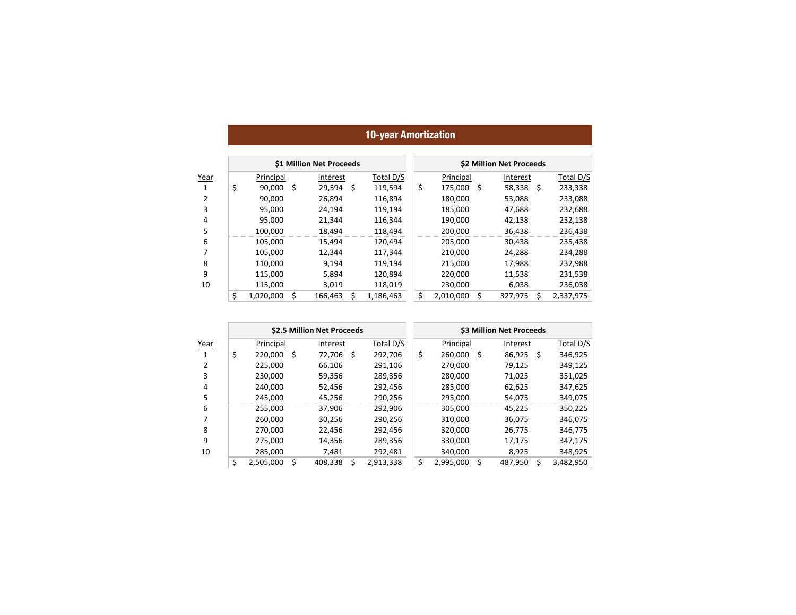## **10-year Amortization**

|      |                 |     | \$1 Million Net Proceeds |     |           | \$2 Million Net Proceeds |           |     |           |   |           |  |  |
|------|-----------------|-----|--------------------------|-----|-----------|--------------------------|-----------|-----|-----------|---|-----------|--|--|
| Year | Principal       |     | Interest                 |     | Total D/S |                          | Principal |     | Interest  |   | Total D/S |  |  |
| 1    | \$<br>90,000    | -\$ | 29,594                   | -\$ | 119,594   | \$                       | 175,000   | - S | 58,338 \$ |   | 233,338   |  |  |
| 2    | 90,000          |     | 26.894                   |     | 116,894   |                          | 180,000   |     | 53,088    |   | 233,088   |  |  |
| 3    | 95,000          |     | 24.194                   |     | 119,194   |                          | 185,000   |     | 47,688    |   | 232,688   |  |  |
| 4    | 95,000          |     | 21,344                   |     | 116,344   |                          | 190,000   |     | 42,138    |   | 232,138   |  |  |
| 5    | 100,000         |     | 18,494                   |     | 118,494   |                          | 200,000   |     | 36,438    |   | 236,438   |  |  |
| 6    | 105,000         |     | 15,494                   |     | 120,494   |                          | 205,000   |     | 30,438    |   | 235,438   |  |  |
| 7    | 105,000         |     | 12,344                   |     | 117,344   |                          | 210,000   |     | 24,288    |   | 234,288   |  |  |
| 8    | 110.000         |     | 9.194                    |     | 119.194   |                          | 215,000   |     | 17,988    |   | 232,988   |  |  |
| 9    | 115,000         |     | 5,894                    |     | 120.894   |                          | 220,000   |     | 11,538    |   | 231,538   |  |  |
| 10   | 115,000         |     | 3,019                    |     | 118,019   |                          | 230,000   |     | 6,038     |   | 236,038   |  |  |
|      | \$<br>1,020,000 | Ŝ   | 166,463                  | Ś   | 1,186,463 | \$                       | 2,010,000 | Ś   | 327,975   | Ś | 2,337,975 |  |  |

|      |                 |    | \$2.5 Million Net Proceeds |     |           | \$3 Million Net Proceeds |           |     |          |   |           |  |  |
|------|-----------------|----|----------------------------|-----|-----------|--------------------------|-----------|-----|----------|---|-----------|--|--|
| Year | Principal       |    | Interest                   |     | Total D/S |                          | Principal |     | Interest |   | Total D/S |  |  |
| 1    | \$<br>220.000   | -Ś | 72.706                     | -\$ | 292,706   | \$                       | 260,000   | .\$ | 86,925   | Ŝ | 346,925   |  |  |
|      | 225.000         |    | 66.106                     |     | 291.106   |                          | 270.000   |     | 79.125   |   | 349,125   |  |  |
| 3    | 230,000         |    | 59,356                     |     | 289,356   |                          | 280,000   |     | 71,025   |   | 351,025   |  |  |
| 4    | 240,000         |    | 52,456                     |     | 292,456   |                          | 285,000   |     | 62,625   |   | 347,625   |  |  |
| 5    | 245,000         |    | 45,256                     |     | 290,256   |                          | 295,000   |     | 54,075   |   | 349,075   |  |  |
| 6    | 255,000         |    | 37.906                     |     | 292,906   |                          | 305,000   |     | 45.225   |   | 350,225   |  |  |
|      | 260.000         |    | 30.256                     |     | 290.256   |                          | 310,000   |     | 36,075   |   | 346,075   |  |  |
| 8    | 270,000         |    | 22.456                     |     | 292,456   |                          | 320,000   |     | 26,775   |   | 346,775   |  |  |
| 9    | 275,000         |    | 14,356                     |     | 289,356   |                          | 330,000   |     | 17,175   |   | 347,175   |  |  |
| 10   | 285,000         |    | 7.481                      |     | 292.481   |                          | 340,000   |     | 8.925    |   | 348,925   |  |  |
|      | \$<br>2.505.000 |    | 408.338                    |     | 2.913.338 | \$                       | 2,995,000 | \$  | 487,950  |   | 3.482.950 |  |  |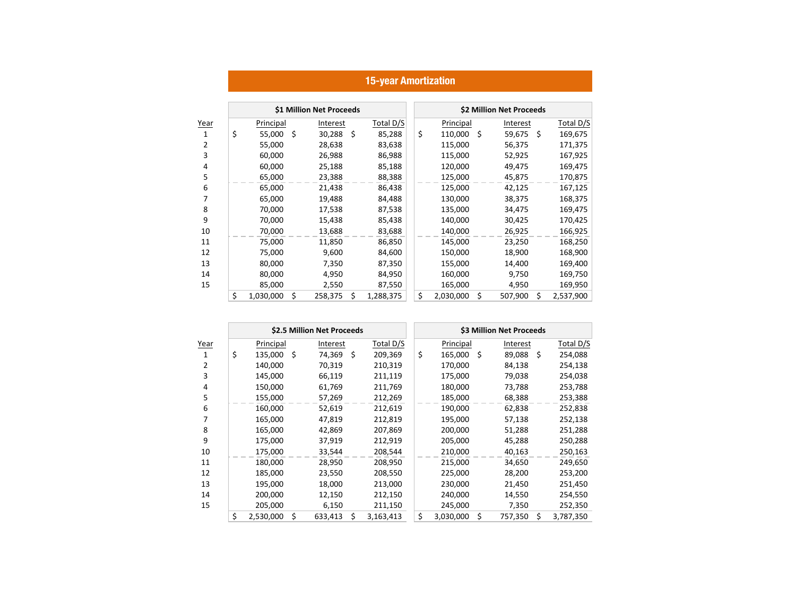|                |                 |    | \$1 Million Net Proceeds |      |           |    |           |     | \$2 Million Net Proceeds |      |           |
|----------------|-----------------|----|--------------------------|------|-----------|----|-----------|-----|--------------------------|------|-----------|
| Year           | Principal       |    | Interest                 |      | Total D/S |    | Principal |     | Interest                 |      | Total D/S |
| 1              | \$<br>55,000    | Ŝ. | 30,288                   | - \$ | 85,288    | \$ | 110,000   | - Ś | 59,675                   | - \$ | 169,675   |
| $\overline{2}$ | 55,000          |    | 28,638                   |      | 83,638    |    | 115,000   |     | 56,375                   |      | 171,375   |
| 3              | 60,000          |    | 26,988                   |      | 86,988    |    | 115,000   |     | 52,925                   |      | 167,925   |
| 4              | 60,000          |    | 25,188                   |      | 85,188    |    | 120,000   |     | 49,475                   |      | 169,475   |
| 5              | 65,000          |    | 23,388                   |      | 88,388    |    | 125,000   |     | 45,875                   |      | 170,875   |
| 6              | 65,000          |    | 21,438                   |      | 86,438    |    | 125,000   |     | 42,125                   |      | 167,125   |
| 7              | 65,000          |    | 19,488                   |      | 84,488    |    | 130,000   |     | 38,375                   |      | 168,375   |
| 8              | 70,000          |    | 17,538                   |      | 87,538    |    | 135,000   |     | 34,475                   |      | 169,475   |
| 9              | 70,000          |    | 15,438                   |      | 85,438    |    | 140,000   |     | 30,425                   |      | 170,425   |
| 10             | 70,000          |    | 13,688                   |      | 83,688    |    | 140,000   |     | 26,925                   |      | 166,925   |
| 11             | 75,000          |    | 11,850                   |      | 86,850    |    | 145,000   |     | 23,250                   |      | 168,250   |
| 12             | 75,000          |    | 9,600                    |      | 84,600    |    | 150,000   |     | 18,900                   |      | 168,900   |
| 13             | 80,000          |    | 7,350                    |      | 87,350    |    | 155,000   |     | 14,400                   |      | 169,400   |
| 14             | 80,000          |    | 4,950                    |      | 84,950    |    | 160,000   |     | 9,750                    |      | 169,750   |
| 15             | 85,000          |    | 2,550                    |      | 87,550    |    | 165,000   |     | 4,950                    |      | 169,950   |
|                | \$<br>1,030,000 | \$ | 258,375                  | Ś    | 1,288,375 | \$ | 2,030,000 | \$  | 507,900                  | \$   | 2,537,900 |

|                |                 |      | \$2.5 Million Net Proceeds |     |           | \$3 Million Net Proceeds |           |    |  |          |    |           |
|----------------|-----------------|------|----------------------------|-----|-----------|--------------------------|-----------|----|--|----------|----|-----------|
| Year           | Principal       |      | Interest                   |     | Total D/S |                          | Principal |    |  | Interest |    | Total D/S |
| 1              | \$<br>135,000   | - \$ | 74,369                     | - Ś | 209,369   | \$                       | 165,000   | Ŝ. |  | 89,088   | Ś. | 254,088   |
| 2              | 140,000         |      | 70,319                     |     | 210,319   |                          | 170,000   |    |  | 84,138   |    | 254,138   |
| 3              | 145,000         |      | 66,119                     |     | 211,119   |                          | 175,000   |    |  | 79,038   |    | 254,038   |
| $\overline{4}$ | 150,000         |      | 61,769                     |     | 211,769   |                          | 180,000   |    |  | 73,788   |    | 253,788   |
| 5              | 155,000         |      | 57,269                     |     | 212,269   |                          | 185,000   |    |  | 68,388   |    | 253,388   |
| 6              | 160,000         |      | 52,619                     |     | 212,619   |                          | 190,000   |    |  | 62,838   |    | 252,838   |
| 7              | 165,000         |      | 47,819                     |     | 212,819   |                          | 195,000   |    |  | 57,138   |    | 252,138   |
| 8              | 165,000         |      | 42,869                     |     | 207,869   |                          | 200,000   |    |  | 51,288   |    | 251,288   |
| 9              | 175,000         |      | 37,919                     |     | 212,919   |                          | 205,000   |    |  | 45,288   |    | 250,288   |
| 10             | 175,000         |      | 33,544                     |     | 208,544   |                          | 210,000   |    |  | 40,163   |    | 250,163   |
| 11             | 180,000         |      | 28,950                     |     | 208,950   |                          | 215,000   |    |  | 34,650   |    | 249,650   |
| 12             | 185,000         |      | 23,550                     |     | 208,550   |                          | 225,000   |    |  | 28,200   |    | 253,200   |
| 13             | 195,000         |      | 18,000                     |     | 213,000   |                          | 230,000   |    |  | 21,450   |    | 251,450   |
| 14             | 200,000         |      | 12,150                     |     | 212,150   |                          | 240,000   |    |  | 14,550   |    | 254,550   |
| 15             | 205,000         |      | 6,150                      |     | 211,150   |                          | 245,000   |    |  | 7,350    |    | 252,350   |
|                | \$<br>2,530,000 | \$   | 633,413                    | \$  | 3,163,413 | \$                       | 3,030,000 | Ś  |  | 757,350  | Ś  | 3,787,350 |